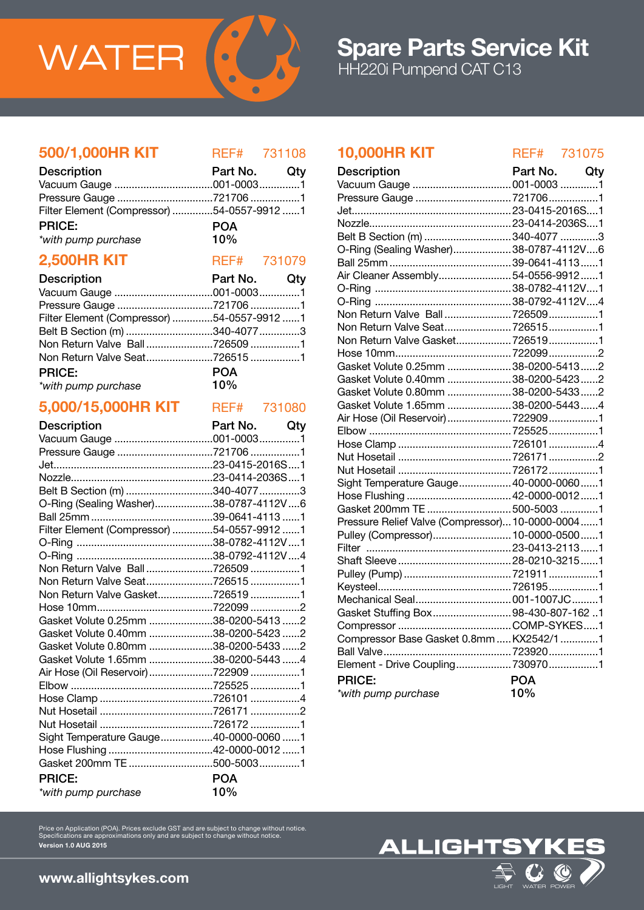

# 500/1,000HR KIT REF# 731108

| <b>Description</b>                         | Part No. Qty |  |
|--------------------------------------------|--------------|--|
|                                            |              |  |
|                                            |              |  |
| Filter Element (Compressor) 54-0557-9912 1 |              |  |
| <b>PRICE:</b>                              | <b>POA</b>   |  |
| *with pump purchase                        | 10%          |  |

# **2,500HR KIT** REF# 731079

| <b>Description</b>                         | Part No. Qty |  |
|--------------------------------------------|--------------|--|
|                                            |              |  |
|                                            |              |  |
| Filter Element (Compressor) 54-0557-9912 1 |              |  |
| Belt B Section (m) 340-4077 3              |              |  |
| Non Return Valve Ball7265091               |              |  |
| Non Return Valve Seat7265151               |              |  |
| <b>PRICE:</b>                              | <b>POA</b>   |  |
| $10\%$<br>*with pump purchase              |              |  |

## 5,000/15,000HR KIT REF# 731080

| <b>Description</b>                         | Part No. Qty |  |
|--------------------------------------------|--------------|--|
|                                            |              |  |
| Pressure Gauge 721706 1                    |              |  |
|                                            |              |  |
|                                            |              |  |
| Belt B Section (m) 340-4077 3              |              |  |
| O-Ring (Sealing Washer)38-0787-4112V6      |              |  |
|                                            |              |  |
| Filter Element (Compressor) 54-0557-9912 1 |              |  |
|                                            |              |  |
|                                            |              |  |
| Non Return Valve Ball7265091               |              |  |
| Non Return Valve Seat7265151               |              |  |
| Non Return Valve Gasket7265191             |              |  |
|                                            |              |  |
| Gasket Volute 0.25mm 38-0200-5413 2        |              |  |
| Gasket Volute 0.40mm 38-0200-5423 2        |              |  |
| Gasket Volute 0.80mm 38-0200-5433 2        |              |  |
| Gasket Volute 1.65mm 38-0200-5443 4        |              |  |
| Air Hose (Oil Reservoir) 722909 1          |              |  |
|                                            |              |  |
|                                            |              |  |
|                                            |              |  |
|                                            |              |  |
| Sight Temperature Gauge40-0000-0060 1      |              |  |
|                                            |              |  |
|                                            |              |  |
| <b>PRICE:</b>                              | <b>POA</b>   |  |
| *with pump purchase                        | 10%          |  |

# 10,000HR KIT REF# 731075

| <b>Description</b>                               | Part No.   | Qty |
|--------------------------------------------------|------------|-----|
|                                                  |            |     |
| Pressure Gauge 7217061                           |            |     |
|                                                  |            |     |
|                                                  |            |     |
| Belt B Section (m) 340-4077 3                    |            |     |
| O-Ring (Sealing Washer)38-0787-4112V6            |            |     |
|                                                  |            |     |
| Air Cleaner Assembly54-0556-99121                |            |     |
|                                                  |            |     |
|                                                  |            |     |
| Non Return Valve Ball7265091                     |            |     |
| Non Return Valve Seat7265151                     |            |     |
| Non Return Valve Gasket 7265191                  |            |     |
|                                                  |            |     |
| Gasket Volute 0.25mm  38-0200-54132              |            |     |
| Gasket Volute 0.40mm  38-0200-5423 2             |            |     |
| Gasket Volute 0.80mm  38-0200-5433 2             |            |     |
| Gasket Volute 1.65mm 38-0200-54434               |            |     |
|                                                  |            |     |
|                                                  |            |     |
|                                                  |            |     |
|                                                  |            |     |
|                                                  |            |     |
| Sight Temperature Gauge 40-0000-00601            |            |     |
|                                                  |            |     |
| Gasket 200mm TE  500-5003 1                      |            |     |
| Pressure Relief Valve (Compressor) 10-0000-00041 |            |     |
| Pulley (Compressor) 10-0000-05001                |            |     |
|                                                  |            |     |
|                                                  |            |     |
|                                                  |            |     |
|                                                  |            |     |
|                                                  |            |     |
| Gasket Stuffing Box98-430-807-1621               |            |     |
|                                                  |            |     |
| Compressor Base Gasket 0.8mm  KX2542/1 1         |            |     |
|                                                  |            |     |
| Element - Drive Coupling 7309701                 |            |     |
| <b>PRICE:</b>                                    | <b>POA</b> |     |
| *with pump purchase                              | 10%        |     |



Version 1.0 AUG 2015